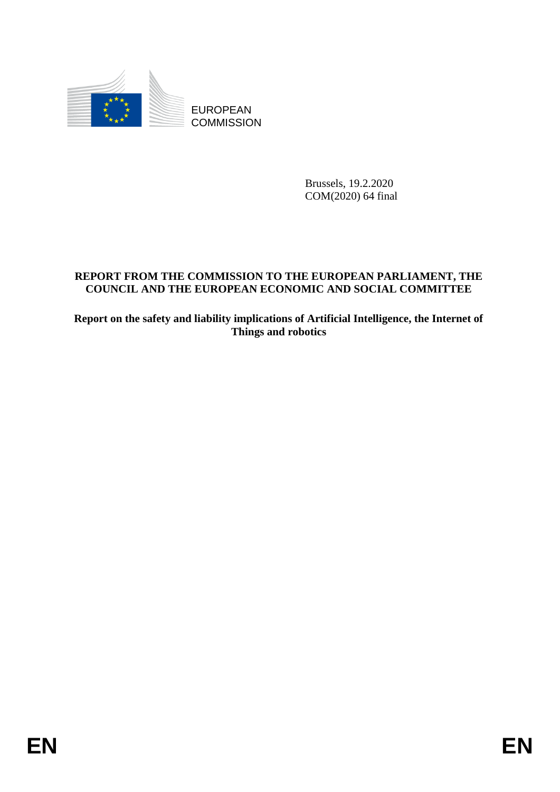

**COMMISSION** 

Brussels, 19.2.2020 COM(2020) 64 final

# EUROPEAN<br>
EUROPEAN<br>
EUROPEAN<br>
ENGLISSION<br>
COMMISSION<br>
ENGLISSION<br>
ENGLISSION<br>
ENGLISSION<br>
ENGLISSION<br>
ENGLISSION CONSIDER PROPEAN PROTOR AND SOCIAL CONNITYPER<br>
Report on the safety and linking implications of Artificial In **REPORT FROM THE COMMISSION TO THE EUROPEAN PARLIAMENT, THE COUNCIL AND THE EUROPEAN ECONOMIC AND SOCIAL COMMITTEE**

**Report on the safety and liability implications of Artificial Intelligence, the Internet of Things and robotics**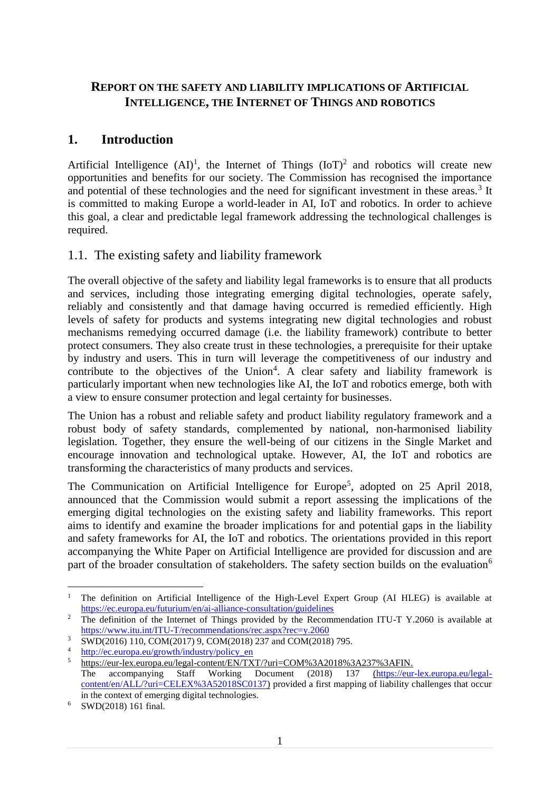### **REPORT ON THE SAFETY AND LIABILITY IMPLICATIONS OF ARTIFICIAL INTELLIGENCE, THE INTERNET OF THINGS AND ROBOTICS**

# **1. Introduction**

Artificial Intelligence  $(AI)^1$ , the Internet of Things  $(IoT)^2$  and robotics will create new opportunities and benefits for our society. The Commission has recognised the importance and potential of these technologies and the need for significant investment in these areas.<sup>3</sup> It is committed to making Europe a world-leader in AI, IoT and robotics. In order to achieve this goal, a clear and predictable legal framework addressing the technological challenges is required.

### 1.1. The existing safety and liability framework

The overall objective of the safety and liability legal frameworks is to ensure that all products and services, including those integrating emerging digital technologies, operate safely, reliably and consistently and that damage having occurred is remedied efficiently. High levels of safety for products and systems integrating new digital technologies and robust mechanisms remedying occurred damage (i.e. the liability framework) contribute to better protect consumers. They also create trust in these technologies, a prerequisite for their uptake by industry and users. This in turn will leverage the competitiveness of our industry and contribute to the objectives of the Union<sup>4</sup>. A clear safety and liability framework is particularly important when new technologies like AI, the IoT and robotics emerge, both with a view to ensure consumer protection and legal certainty for businesses.

The Union has a robust and reliable safety and product liability regulatory framework and a robust body of safety standards, complemented by national, non-harmonised liability legislation. Together, they ensure the well-being of our citizens in the Single Market and encourage innovation and technological uptake. However, AI, the IoT and robotics are transforming the characteristics of many products and services.

The [Communication on Artificial Intelligence for Europe](https://ec.europa.eu/digital-single-market/en/news/communication-artificial-intelligence-europe)<sup>5</sup>, adopted on 25 April 2018, announced that the Commission would submit a report assessing the implications of the emerging digital technologies on the existing safety and liability frameworks. This report aims to identify and examine the broader implications for and potential gaps in the liability and safety frameworks for AI, the IoT and robotics. The orientations provided in this report accompanying the White Paper on Artificial Intelligence are provided for discussion and are part of the broader consultation of stakeholders. The safety section builds on the evaluation<sup>6</sup>

<sup>1</sup> <sup>1</sup> The definition on Artificial Intelligence of the High-Level Expert Group (AI HLEG) is available at <https://ec.europa.eu/futurium/en/ai-alliance-consultation/guidelines>

<sup>2</sup> The definition of the Internet of Things provided by the Recommendation ITU-T Y.2060 is available at <https://www.itu.int/ITU-T/recommendations/rec.aspx?rec=y.2060>

<sup>&</sup>lt;sup>3</sup> SWD(2016) 110, COM(2017) 9, COM(2018) 237 and COM(2018) 795.

[http://ec.europa.eu/growth/industry/policy\\_en](http://ec.europa.eu/growth/industry/policy_en)

<sup>5</sup> [https://eur-lex.europa.eu/legal-content/EN/TXT/?uri=COM%3A2018%3A237%3AFIN.](https://eur-lex.europa.eu/legal-content/EN/TXT/?uri=COM%3A2018%3A237%3AFIN) The accompanying Staff Working Document (2018) 137 [\(https://eur-lex.europa.eu/legal](https://eur-lex.europa.eu/legal-content/en/ALL/?uri=CELEX%3A52018SC0137)[content/en/ALL/?uri=CELEX%3A52018SC0137\)](https://eur-lex.europa.eu/legal-content/en/ALL/?uri=CELEX%3A52018SC0137) provided a first mapping of liability challenges that occur in the context of emerging digital technologies.

<sup>6</sup> SWD(2018) 161 final.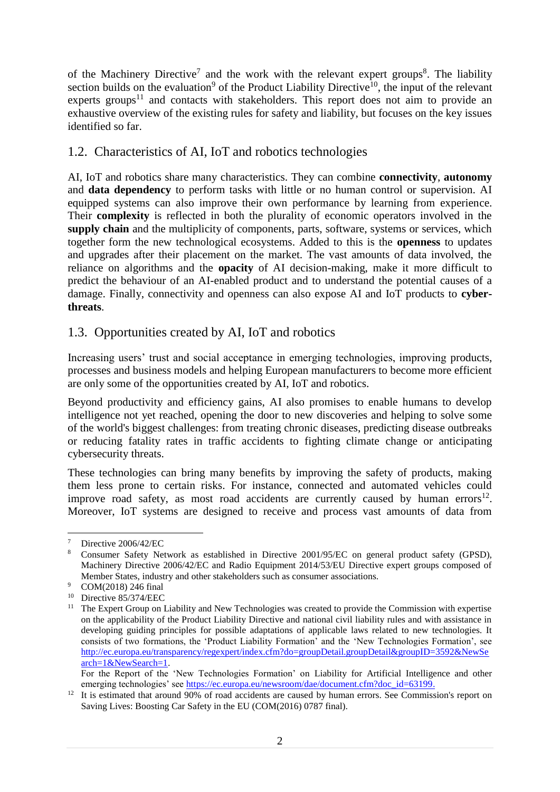of the Machinery Directive<sup>7</sup> and the work with the relevant expert groups<sup>8</sup>. The liability section builds on the evaluation<sup>9</sup> of the Product Liability Directive<sup>10</sup>, the input of the relevant experts groups<sup>11</sup> and contacts with stakeholders. This report does not aim to provide an exhaustive overview of the existing rules for safety and liability, but focuses on the key issues identified so far.

### 1.2. Characteristics of AI, IoT and robotics technologies

AI, IoT and robotics share many characteristics. They can combine **connectivity**, **autonomy** and **data dependency** to perform tasks with little or no human control or supervision. AI equipped systems can also improve their own performance by learning from experience. Their **complexity** is reflected in both the plurality of economic operators involved in the **supply chain** and the multiplicity of components, parts, software, systems or services, which together form the new technological ecosystems. Added to this is the **openness** to updates and upgrades after their placement on the market. The vast amounts of data involved, the reliance on algorithms and the **opacity** of AI decision-making, make it more difficult to predict the behaviour of an AI-enabled product and to understand the potential causes of a damage. Finally, connectivity and openness can also expose AI and IoT products to **cyberthreats**.

## 1.3. Opportunities created by AI, IoT and robotics

Increasing users' trust and social acceptance in emerging technologies, improving products, processes and business models and helping European manufacturers to become more efficient are only some of the opportunities created by AI, IoT and robotics.

Beyond productivity and efficiency gains, AI also promises to enable humans to develop intelligence not yet reached, opening the door to new discoveries and helping to solve some of the world's biggest challenges: from treating chronic diseases, predicting disease outbreaks or reducing fatality rates in traffic accidents to fighting climate change or anticipating cybersecurity threats.

These technologies can bring many benefits by improving the safety of products, making them less prone to certain risks. For instance, connected and automated vehicles could improve road safety, as most road accidents are currently caused by human errors<sup>12</sup>. Moreover, IoT systems are designed to receive and process vast amounts of data from

<sup>&</sup>lt;u>.</u>  $\frac{7}{8}$  Directive 2006/42/EC

<sup>8</sup> Consumer Safety Network as established in Directive 2001/95/EC on general product safety (GPSD), Machinery Directive 2006/42/EC and Radio Equipment 2014/53/EU Directive expert groups composed of Member States, industry and other stakeholders such as consumer associations.

COM(2018) 246 final

<sup>10</sup> Directive 85/374/EEC

<sup>&</sup>lt;sup>11</sup> The Expert Group on Liability and New Technologies was created to provide the Commission with expertise on the applicability of the Product Liability Directive and national civil liability rules and with assistance in developing guiding principles for possible adaptations of applicable laws related to new technologies. It consists of two formations, the 'Product Liability Formation' and the 'New Technologies Formation', see [http://ec.europa.eu/transparency/regexpert/index.cfm?do=groupDetail.groupDetail&groupID=3592&NewSe](http://ec.europa.eu/transparency/regexpert/index.cfm?do=groupDetail.groupDetail&groupID=3592&NewSearch=1&NewSearch=1) [arch=1&NewSearch=1.](http://ec.europa.eu/transparency/regexpert/index.cfm?do=groupDetail.groupDetail&groupID=3592&NewSearch=1&NewSearch=1)

For the Report of the 'New Technologies Formation' on Liability for Artificial Intelligence and other emerging technologies' see [https://ec.europa.eu/newsroom/dae/document.cfm?doc\\_id=63199.](https://ec.europa.eu/newsroom/dae/document.cfm?doc_id=63199)

<sup>&</sup>lt;sup>12</sup> It is estimated that around 90% of road accidents are caused by human errors. See Commission's report on Saving Lives: Boosting Car Safety in the EU (COM(2016) 0787 final).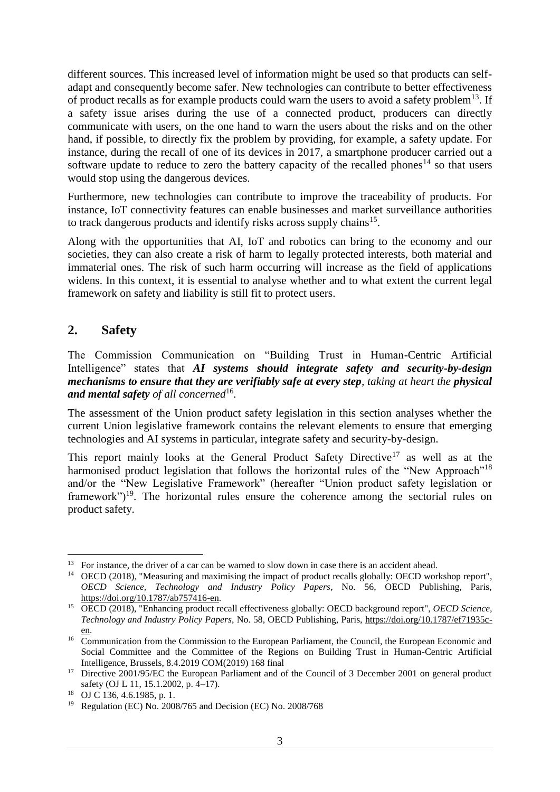different sources. This increased level of information might be used so that products can selfadapt and consequently become safer. New technologies can contribute to better effectiveness of product recalls as for example products could warn the users to avoid a safety problem<sup>13</sup>. If a safety issue arises during the use of a connected product, producers can directly communicate with users, on the one hand to warn the users about the risks and on the other hand, if possible, to directly fix the problem by providing, for example, a safety update. For instance, during the recall of one of its devices in 2017, a smartphone producer carried out a software update to reduce to zero the battery capacity of the recalled phones<sup>14</sup> so that users would stop using the dangerous devices.

Furthermore, new technologies can contribute to improve the traceability of products. For instance, IoT connectivity features can enable businesses and market surveillance authorities to track dangerous products and identify risks across supply chains<sup>15</sup>.

Along with the opportunities that AI, IoT and robotics can bring to the economy and our societies, they can also create a risk of harm to legally protected interests, both material and immaterial ones. The risk of such harm occurring will increase as the field of applications widens. In this context, it is essential to analyse whether and to what extent the current legal framework on safety and liability is still fit to protect users.

# **2. Safety**

1

The Commission Communication on "Building Trust in Human-Centric Artificial Intelligence" states that *AI systems should integrate safety and security-by-design mechanisms to ensure that they are verifiably safe at every step, taking at heart the physical and mental safety of all concerned*<sup>16</sup> *.* 

The assessment of the Union product safety legislation in this section analyses whether the current Union legislative framework contains the relevant elements to ensure that emerging technologies and AI systems in particular, integrate safety and security-by-design.

This report mainly looks at the General Product Safety Directive<sup>17</sup> as well as at the harmonised product legislation that follows the horizontal rules of the "New Approach"<sup>18</sup> and/or the "New Legislative Framework" (hereafter "Union product safety legislation or framework")<sup>19</sup>. The horizontal rules ensure the coherence among the sectorial rules on product safety.

<sup>&</sup>lt;sup>13</sup> For instance, the driver of a car can be warned to slow down in case there is an accident ahead.

<sup>&</sup>lt;sup>14</sup> OECD (2018), "Measuring and maximising the impact of product recalls globally: OECD workshop report", *OECD Science, Technology and Industry Policy Papers*, No. 56, OECD Publishing, Paris, [https://doi.org/10.1787/ab757416-en.](https://doi.org/10.1787/ab757416-en)

<sup>15</sup> OECD (2018), "Enhancing product recall effectiveness globally: OECD background report", *OECD Science, Technology and Industry Policy Papers*, No. 58, OECD Publishing, Paris, [https://doi.org/10.1787/ef71935c](https://doi.org/10.1787/ef71935c-en)[en.](https://doi.org/10.1787/ef71935c-en)

<sup>&</sup>lt;sup>16</sup> Communication from the Commission to the European Parliament, the Council, the European Economic and Social Committee and the Committee of the Regions on Building Trust in Human-Centric Artificial Intelligence, Brussels, 8.4.2019 COM(2019) 168 final

<sup>&</sup>lt;sup>17</sup> Directive 2001/95/EC the European Parliament and of the Council of 3 December 2001 on general product safety (OJ L 11, 15.1.2002, p. 4–17)*.*

<sup>18</sup> OJ C 136, 4.6.1985, p. 1.

<sup>19</sup> Regulation (EC) No. 2008/765 and Decision (EC) No. 2008/768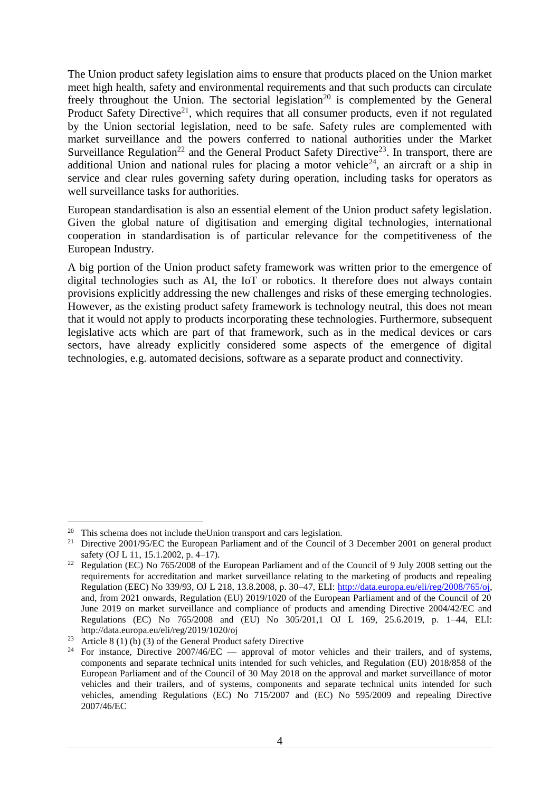The Union product safety legislation aims to ensure that products placed on the Union market meet high health, safety and environmental requirements and that such products can circulate freely throughout the Union. The sectorial legislation<sup>20</sup> is complemented by the General Product Safety Directive<sup>21</sup>, which requires that all consumer products, even if not regulated by the Union sectorial legislation, need to be safe. Safety rules are complemented with market surveillance and the powers conferred to national authorities under the Market Surveillance Regulation<sup>22</sup> and the General Product Safety Directive<sup>23</sup>. In transport, there are additional Union and national rules for placing a motor vehicle<sup>24</sup>, an aircraft or a ship in service and clear rules governing safety during operation, including tasks for operators as well surveillance tasks for authorities.

European standardisation is also an essential element of the Union product safety legislation. Given the global nature of digitisation and emerging digital technologies, international cooperation in standardisation is of particular relevance for the competitiveness of the European Industry.

A big portion of the Union product safety framework was written prior to the emergence of digital technologies such as AI, the IoT or robotics. It therefore does not always contain provisions explicitly addressing the new challenges and risks of these emerging technologies. However, as the existing product safety framework is technology neutral, this does not mean that it would not apply to products incorporating these technologies. Furthermore, subsequent legislative acts which are part of that framework, such as in the medical devices or cars sectors, have already explicitly considered some aspects of the emergence of digital technologies, e.g. automated decisions, software as a separate product and connectivity.

This schema does not include the Union transport and cars legislation.

<sup>&</sup>lt;sup>21</sup> Directive 2001/95/EC the European Parliament and of the Council of 3 December 2001 on general product safety (OJ L 11, 15.1.2002, p. 4–17)*.*

<sup>&</sup>lt;sup>22</sup> Regulation (EC) No 765/2008 of the European Parliament and of the Council of 9 July 2008 setting out the requirements for accreditation and market surveillance relating to the marketing of products and repealing Regulation (EEC) No 339/93, OJ L 218, 13.8.2008, p. 30–47, ELI: [http://data.europa.eu/eli/reg/2008/765/oj,](http://data.europa.eu/eli/reg/2008/765/oj) and, from 2021 onwards, Regulation (EU) 2019/1020 of the European Parliament and of the Council of 20 June 2019 on market surveillance and compliance of products and amending Directive 2004/42/EC and Regulations (EC) No 765/2008 and (EU) No 305/201,1 OJ L 169, 25.6.2019, p. 1–44, ELI: http://data.europa.eu/eli/reg/2019/1020/oj

<sup>&</sup>lt;sup>23</sup> Article 8 (1) (b) (3) of the General Product safety Directive

<sup>&</sup>lt;sup>24</sup> For instance, Directive  $2007/46/EC$  — approval of motor vehicles and their trailers, and of systems, components and separate technical units intended for such vehicles, and Regulation (EU) 2018/858 of the European Parliament and of the Council of 30 May 2018 on the approval and market surveillance of motor vehicles and their trailers, and of systems, components and separate technical units intended for such vehicles, amending Regulations (EC) No 715/2007 and (EC) No 595/2009 and repealing Directive 2007/46/EC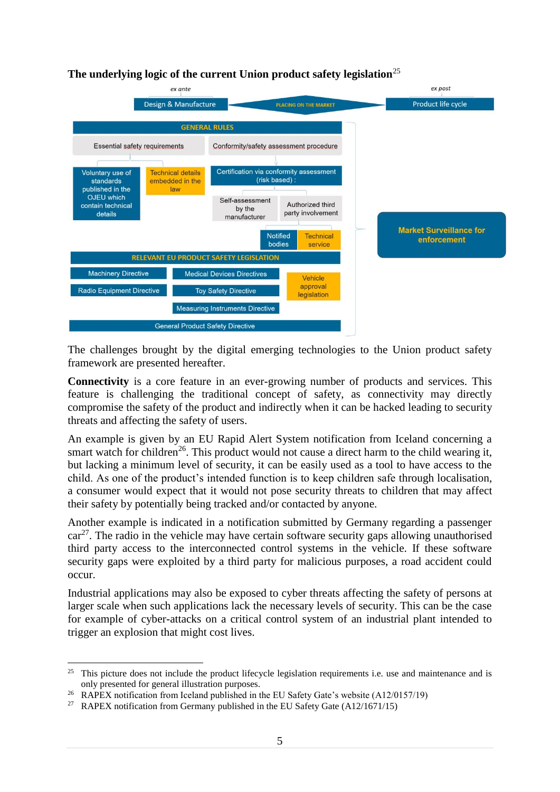### **The underlying logic of the current Union product safety legislation**<sup>25</sup>



The challenges brought by the digital emerging technologies to the Union product safety framework are presented hereafter.

**Connectivity** is a core feature in an ever-growing number of products and services. This feature is challenging the traditional concept of safety, as connectivity may directly compromise the safety of the product and indirectly when it can be hacked leading to security threats and affecting the safety of users.

An example is given by an EU Rapid Alert System notification from Iceland concerning a smart watch for children<sup>26</sup>. This product would not cause a direct harm to the child wearing it, but lacking a minimum level of security, it can be easily used as a tool to have access to the child. As one of the product's intended function is to keep children safe through localisation, a consumer would expect that it would not pose security threats to children that may affect their safety by potentially being tracked and/or contacted by anyone.

Another example is indicated in a notification submitted by Germany regarding a passenger  $car<sup>27</sup>$ . The radio in the vehicle may have certain software security gaps allowing unauthorised third party access to the interconnected control systems in the vehicle. If these software security gaps were exploited by a third party for malicious purposes, a road accident could occur.

Industrial applications may also be exposed to cyber threats affecting the safety of persons at larger scale when such applications lack the necessary levels of security. This can be the case for example of cyber-attacks on a critical control system of an industrial plant intended to trigger an explosion that might cost lives.

 $25$  This picture does not include the product lifecycle legislation requirements i.e. use and maintenance and is only presented for general illustration purposes.

<sup>&</sup>lt;sup>26</sup> RAPEX notification from Iceland published in the EU Safety Gate's website  $(A12/0157/19)$ 

<sup>&</sup>lt;sup>27</sup> RAPEX notification from Germany published in the EU Safety Gate  $(A12/1671/15)$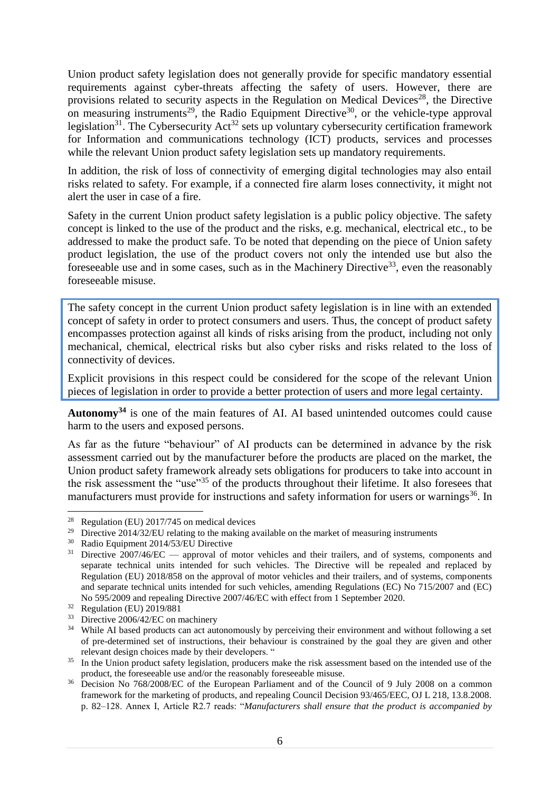Union product safety legislation does not generally provide for specific mandatory essential requirements against cyber-threats affecting the safety of users. However, there are provisions related to security aspects in the Regulation on Medical Devices<sup>28</sup>, the Directive on measuring instruments<sup>29</sup>, the Radio Equipment Directive<sup>30</sup>, or the vehicle-type approval legislation<sup>31</sup>. The Cybersecurity Act<sup>32</sup> sets up voluntary cybersecurity certification framework for Information and communications technology (ICT) products, services and processes while the relevant Union product safety legislation sets up mandatory requirements.

In addition, the risk of loss of connectivity of emerging digital technologies may also entail risks related to safety. For example, if a connected fire alarm loses connectivity, it might not alert the user in case of a fire.

Safety in the current Union product safety legislation is a public policy objective. The safety concept is linked to the use of the product and the risks, e.g. mechanical, electrical etc., to be addressed to make the product safe. To be noted that depending on the piece of Union safety product legislation, the use of the product covers not only the intended use but also the foreseeable use and in some cases, such as in the Machinery Directive<sup>33</sup>, even the reasonably foreseeable misuse.

The safety concept in the current Union product safety legislation is in line with an extended concept of safety in order to protect consumers and users. Thus, the concept of product safety encompasses protection against all kinds of risks arising from the product, including not only mechanical, chemical, electrical risks but also cyber risks and risks related to the loss of connectivity of devices.

Explicit provisions in this respect could be considered for the scope of the relevant Union pieces of legislation in order to provide a better protection of users and more legal certainty.

**Autonomy<sup>34</sup>** is one of the main features of AI. AI based unintended outcomes could cause harm to the users and exposed persons.

As far as the future "behaviour" of AI products can be determined in advance by the risk assessment carried out by the manufacturer before the products are placed on the market, the Union product safety framework already sets obligations for producers to take into account in the risk assessment the "use"<sup>35</sup> of the products throughout their lifetime. It also foresees that manufacturers must provide for instructions and safety information for users or warnings<sup>36</sup>. In

<sup>28</sup> Regulation (EU) 2017/745 on medical devices

<sup>&</sup>lt;sup>29</sup> Directive 2014/32/EU relating to the making available on the market of measuring instruments<br><sup>30</sup> Padio Foujnment 2014/53/EU Directive

<sup>30</sup> Radio Equipment 2014/53/EU Directive

 $31$  Directive  $2007/46/EC$  — approval of motor vehicles and their trailers, and of systems, components and separate technical units intended for such vehicles. The Directive will be repealed and replaced by Regulation (EU) 2018/858 on the approval of motor vehicles and their trailers, and of systems, components and separate technical units intended for such vehicles, amending Regulations (EC) No 715/2007 and (EC) No 595/2009 and repealing Directive 2007/46/EC with effect from 1 September 2020.

<sup>32</sup> Regulation (EU) 2019/881

 $33$  Directive 2006/42/EC on machinery<br> $34$  While AI based products can get out

While AI based products can act autonomously by perceiving their environment and without following a set of pre-determined set of instructions, their behaviour is constrained by the goal they are given and other relevant design choices made by their developers. "

<sup>&</sup>lt;sup>35</sup> In the Union product safety legislation, producers make the risk assessment based on the intended use of the product, the foreseeable use and/or the reasonably foreseeable misuse.

<sup>&</sup>lt;sup>36</sup> Decision No 768/2008/EC of the European Parliament and of the Council of 9 July 2008 on a common framework for the marketing of products, and repealing Council Decision 93/465/EEC, OJ L 218, 13.8.2008. p. 82–128. Annex I, Article R2.7 reads: "*Manufacturers shall ensure that the product is accompanied by*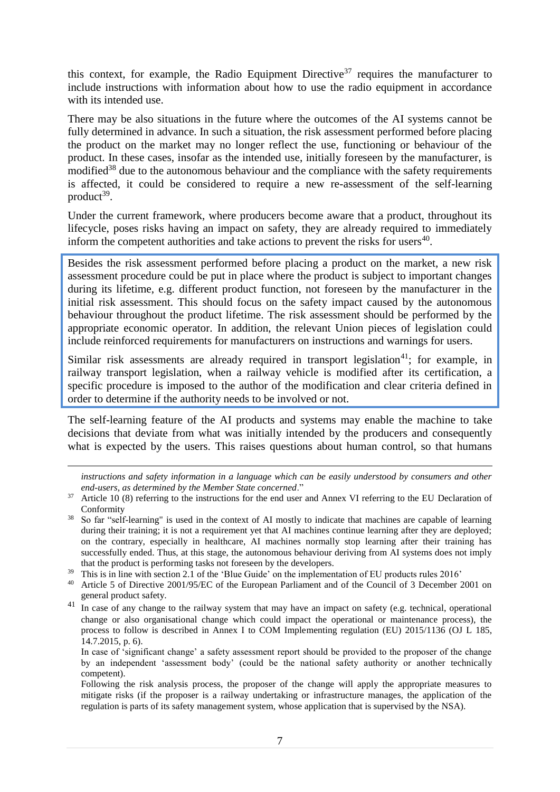this context, for example, the Radio Equipment Directive<sup>37</sup> requires the manufacturer to include instructions with information about how to use the radio equipment in accordance with its intended use.

There may be also situations in the future where the outcomes of the AI systems cannot be fully determined in advance. In such a situation, the risk assessment performed before placing the product on the market may no longer reflect the use, functioning or behaviour of the product. In these cases, insofar as the intended use, initially foreseen by the manufacturer, is modified<sup>38</sup> due to the autonomous behaviour and the compliance with the safety requirements is affected, it could be considered to require a new re-assessment of the self-learning product<sup>39</sup>.

Under the current framework, where producers become aware that a product, throughout its lifecycle, poses risks having an impact on safety, they are already required to immediately inform the competent authorities and take actions to prevent the risks for users $40$ .

Besides the risk assessment performed before placing a product on the market, a new risk assessment procedure could be put in place where the product is subject to important changes during its lifetime, e.g. different product function, not foreseen by the manufacturer in the initial risk assessment. This should focus on the safety impact caused by the autonomous behaviour throughout the product lifetime. The risk assessment should be performed by the appropriate economic operator. In addition, the relevant Union pieces of legislation could include reinforced requirements for manufacturers on instructions and warnings for users.

Similar risk assessments are already required in transport legislation<sup>41</sup>; for example, in railway transport legislation, when a railway vehicle is modified after its certification, a specific procedure is imposed to the author of the modification and clear criteria defined in order to determine if the authority needs to be involved or not.

The self-learning feature of the AI products and systems may enable the machine to take decisions that deviate from what was initially intended by the producers and consequently what is expected by the users. This raises questions about human control, so that humans

<u>.</u>

*instructions and safety information in a language which can be easily understood by consumers and other end-users, as determined by the Member State concerned*."

- <sup>38</sup> So far "self-learning" is used in the context of AI mostly to indicate that machines are capable of learning during their training; it is not a requirement yet that AI machines continue learning after they are deployed; on the contrary, especially in healthcare, AI machines normally stop learning after their training has successfully ended. Thus, at this stage, the autonomous behaviour deriving from AI systems does not imply that the product is performing tasks not foreseen by the developers.
- <sup>39</sup> This is in line with section 2.1 of the 'Blue Guide' on the implementation of EU products rules 2016'

<sup>41</sup> In case of any change to the railway system that may have an impact on safety (e.g. technical, operational change or also organisational change which could impact the operational or maintenance process), the process to follow is described in Annex I to COM Implementing regulation (EU) 2015/1136 (OJ L 185, 14.7.2015, p. 6).

Following the risk analysis process, the proposer of the change will apply the appropriate measures to mitigate risks (if the proposer is a railway undertaking or infrastructure manages, the application of the regulation is parts of its safety management system, whose application that is supervised by the NSA).

<sup>&</sup>lt;sup>37</sup> Article 10 (8) referring to the instructions for the end user and Annex VI referring to the EU Declaration of Conformity

<sup>40</sup> Article 5 of Directive 2001/95/EC of the European Parliament and of the Council of 3 December 2001 on general product safety.

In case of 'significant change' a safety assessment report should be provided to the proposer of the change by an independent 'assessment body' (could be the national safety authority or another technically competent).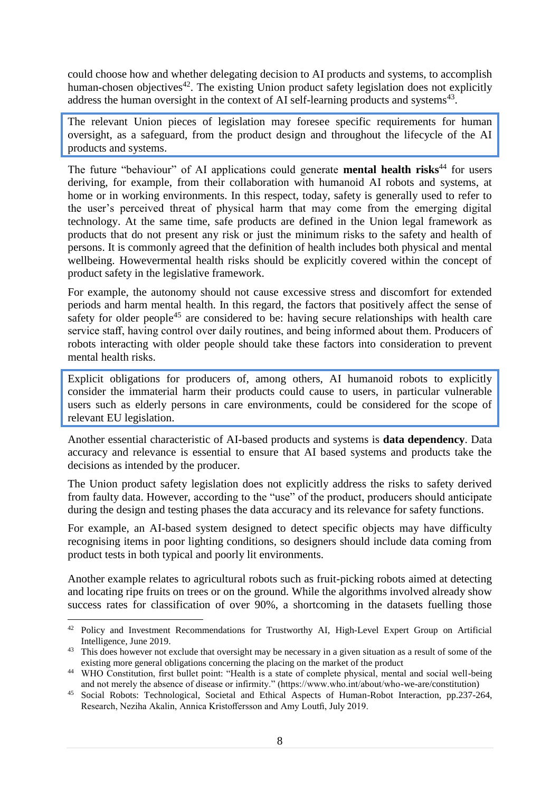could choose how and whether delegating decision to AI products and systems, to accomplish human-chosen objectives<sup> $42$ </sup>. The existing Union product safety legislation does not explicitly address the human oversight in the context of AI self-learning products and systems $43$ .

The relevant Union pieces of legislation may foresee specific requirements for human oversight, as a safeguard, from the product design and throughout the lifecycle of the AI products and systems.

The future "behaviour" of AI applications could generate **mental health risks**<sup>44</sup> for users deriving, for example, from their collaboration with humanoid AI robots and systems, at home or in working environments. In this respect, today, safety is generally used to refer to the user's perceived threat of physical harm that may come from the emerging digital technology. At the same time, safe products are defined in the Union legal framework as products that do not present any risk or just the minimum risks to the safety and health of persons. It is commonly agreed that the definition of health includes both physical and mental wellbeing. Howevermental health risks should be explicitly covered within the concept of product safety in the legislative framework.

For example, the autonomy should not cause excessive stress and discomfort for extended periods and harm mental health. In this regard, the factors that positively affect the sense of safety for older people<sup>45</sup> are considered to be: having secure relationships with health care service staff, having control over daily routines, and being informed about them. Producers of robots interacting with older people should take these factors into consideration to prevent mental health risks.

Explicit obligations for producers of, among others, AI humanoid robots to explicitly consider the immaterial harm their products could cause to users, in particular vulnerable users such as elderly persons in care environments, could be considered for the scope of relevant EU legislation.

Another essential characteristic of AI-based products and systems is **data dependency**. Data accuracy and relevance is essential to ensure that AI based systems and products take the decisions as intended by the producer.

The Union product safety legislation does not explicitly address the risks to safety derived from faulty data. However, according to the "use" of the product, producers should anticipate during the design and testing phases the data accuracy and its relevance for safety functions.

For example, an AI-based system designed to detect specific objects may have difficulty recognising items in poor lighting conditions, so designers should include data coming from product tests in both typical and poorly lit environments.

Another example relates to agricultural robots such as fruit-picking robots aimed at detecting and locating ripe fruits on trees or on the ground. While the algorithms involved already show success rates for classification of over 90%, a shortcoming in the datasets fuelling those

<sup>&</sup>lt;sup>42</sup> Policy and Investment Recommendations for Trustworthy AI, High-Level Expert Group on Artificial Intelligence, June 2019.

<sup>&</sup>lt;sup>43</sup> This does however not exclude that oversight may be necessary in a given situation as a result of some of the existing more general obligations concerning the placing on the market of the product

<sup>&</sup>lt;sup>44</sup> WHO Constitution, first bullet point: "Health is a state of complete physical, mental and social well-being and not merely the absence of disease or infirmity." (https://www.who.int/about/who-we-are/constitution)

<sup>45</sup> Social Robots: Technological, Societal and Ethical Aspects of Human-Robot Interaction, pp.237-264, Research, Neziha Akalin, Annica Kristoffersson and Amy Loutfi, July 2019.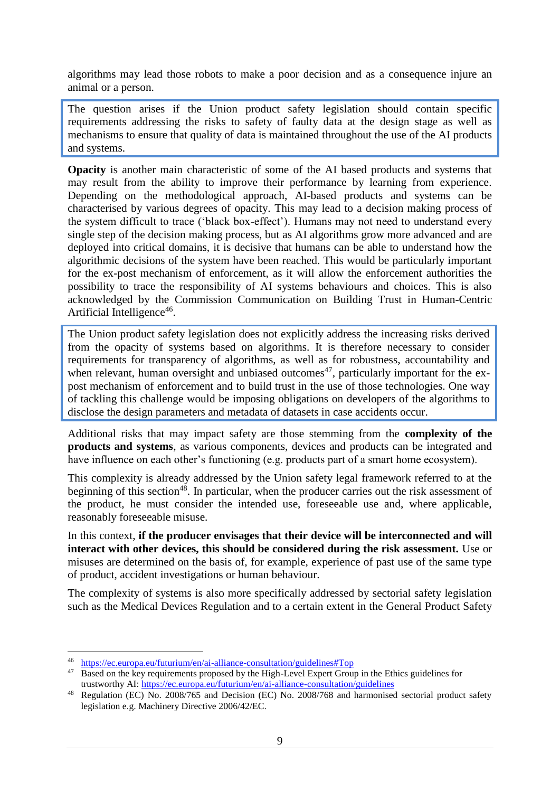algorithms may lead those robots to make a poor decision and as a consequence injure an animal or a person.

The question arises if the Union product safety legislation should contain specific requirements addressing the risks to safety of faulty data at the design stage as well as mechanisms to ensure that quality of data is maintained throughout the use of the AI products and systems.

**Opacity** is another main characteristic of some of the AI based products and systems that may result from the ability to improve their performance by learning from experience. Depending on the methodological approach, AI-based products and systems can be characterised by various degrees of opacity. This may lead to a decision making process of the system difficult to trace ('black box-effect'). Humans may not need to understand every single step of the decision making process, but as AI algorithms grow more advanced and are deployed into critical domains, it is decisive that humans can be able to understand how the algorithmic decisions of the system have been reached. This would be particularly important for the ex-post mechanism of enforcement, as it will allow the enforcement authorities the possibility to trace the responsibility of AI systems behaviours and choices. This is also acknowledged by the Commission Communication on Building Trust in Human-Centric Artificial Intelligence<sup>46</sup>.

The Union product safety legislation does not explicitly address the increasing risks derived from the opacity of systems based on algorithms. It is therefore necessary to consider requirements for transparency of algorithms, as well as for robustness, accountability and when relevant, human oversight and unbiased outcomes<sup>47</sup>, particularly important for the expost mechanism of enforcement and to build trust in the use of those technologies. One way of tackling this challenge would be imposing obligations on developers of the algorithms to disclose the design parameters and metadata of datasets in case accidents occur.

Additional risks that may impact safety are those stemming from the **complexity of the products and systems**, as various components, devices and products can be integrated and have influence on each other's functioning (e.g. products part of a smart home ecosystem).

This complexity is already addressed by the Union safety legal framework referred to at the beginning of this section<sup>48</sup>. In particular, when the producer carries out the risk assessment of the product, he must consider the intended use, foreseeable use and, where applicable, reasonably foreseeable misuse.

In this context, **if the producer envisages that their device will be interconnected and will interact with other devices, this should be considered during the risk assessment.** Use or misuses are determined on the basis of, for example, experience of past use of the same type of product, accident investigations or human behaviour.

The complexity of systems is also more specifically addressed by sectorial safety legislation such as the Medical Devices Regulation and to a certain extent in the General Product Safety

<sup>46</sup> <https://ec.europa.eu/futurium/en/ai-alliance-consultation/guidelines#Top>

<sup>&</sup>lt;sup>47</sup> Based on the key requirements proposed by the High-Level Expert Group in the Ethics guidelines for trustworthy AI:<https://ec.europa.eu/futurium/en/ai-alliance-consultation/guidelines>

<sup>48</sup> Regulation (EC) No. 2008/765 and Decision (EC) No. 2008/768 and harmonised sectorial product safety legislation e.g. Machinery Directive 2006/42/EC.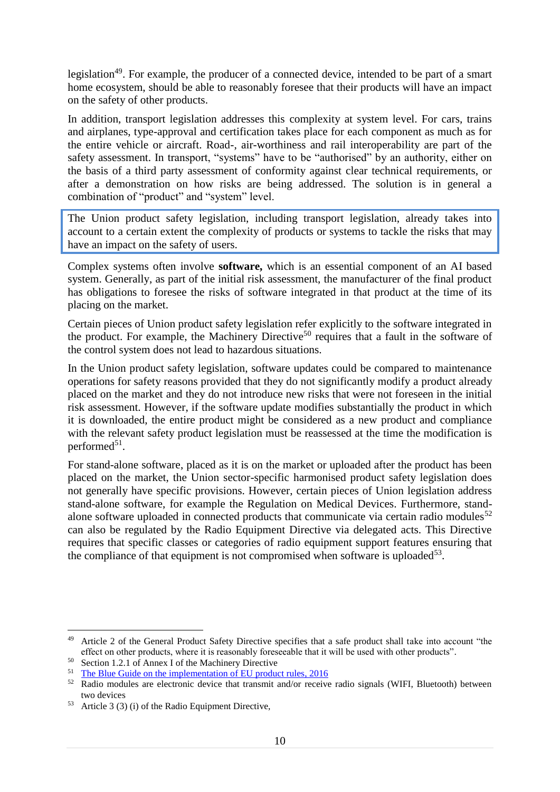legislation<sup>49</sup>. For example, the producer of a connected device, intended to be part of a smart home ecosystem, should be able to reasonably foresee that their products will have an impact on the safety of other products.

In addition, transport legislation addresses this complexity at system level. For cars, trains and airplanes, type-approval and certification takes place for each component as much as for the entire vehicle or aircraft. Road-, air-worthiness and rail interoperability are part of the safety assessment. In transport, "systems" have to be "authorised" by an authority, either on the basis of a third party assessment of conformity against clear technical requirements, or after a demonstration on how risks are being addressed. The solution is in general a combination of "product" and "system" level.

The Union product safety legislation, including transport legislation, already takes into account to a certain extent the complexity of products or systems to tackle the risks that may have an impact on the safety of users.

Complex systems often involve **software,** which is an essential component of an AI based system. Generally, as part of the initial risk assessment, the manufacturer of the final product has obligations to foresee the risks of software integrated in that product at the time of its placing on the market.

Certain pieces of Union product safety legislation refer explicitly to the software integrated in the product. For example, the Machinery Directive<sup>50</sup> requires that a fault in the software of the control system does not lead to hazardous situations.

In the Union product safety legislation, software updates could be compared to maintenance operations for safety reasons provided that they do not significantly modify a product already placed on the market and they do not introduce new risks that were not foreseen in the initial risk assessment. However, if the software update modifies substantially the product in which it is downloaded, the entire product might be considered as a new product and compliance with the relevant safety product legislation must be reassessed at the time the modification is performed<sup>51</sup>.

For stand-alone software, placed as it is on the market or uploaded after the product has been placed on the market, the Union sector-specific harmonised product safety legislation does not generally have specific provisions. However, certain pieces of Union legislation address stand-alone software, for example the Regulation on Medical Devices. Furthermore, standalone software uploaded in connected products that communicate via certain radio modules<sup>52</sup> can also be regulated by the Radio Equipment Directive via delegated acts. This Directive requires that specific classes or categories of radio equipment support features ensuring that the compliance of that equipment is not compromised when software is uploaded<sup>53</sup>.

<u>.</u>

<sup>&</sup>lt;sup>49</sup> Article 2 of the General Product Safety Directive specifies that a safe product shall take into account "the effect on other products, where it is reasonably foreseeable that it will be used with other products".

<sup>50</sup> Section 1.2.1 of Annex I of the Machinery Directive

<sup>51</sup> [The Blue Guide on the implementation of EU product rules, 2016](http://ec.europa.eu/DocsRoom/documents/18027/)

<sup>&</sup>lt;sup>52</sup> Radio modules are electronic device that transmit and/or receive radio signals (WIFI, Bluetooth) between two devices

<sup>53</sup> Article 3 (3) (i) of the Radio Equipment Directive,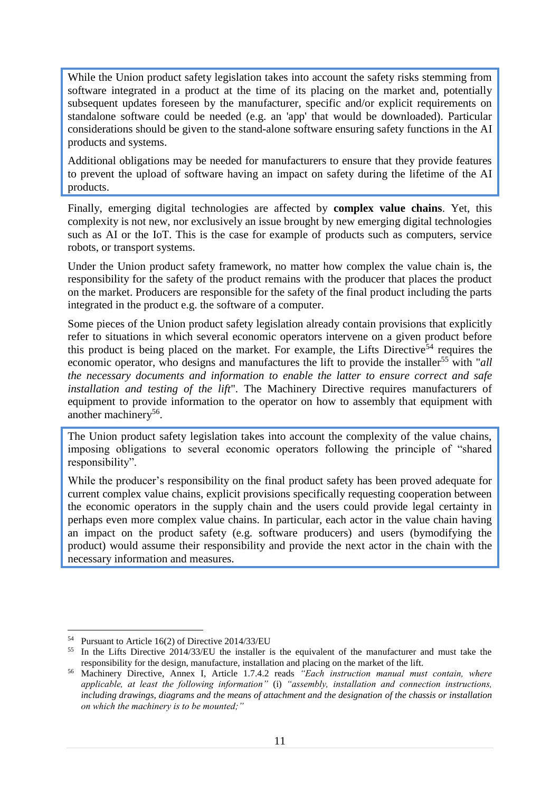While the Union product safety legislation takes into account the safety risks stemming from software integrated in a product at the time of its placing on the market and, potentially subsequent updates foreseen by the manufacturer, specific and/or explicit requirements on standalone software could be needed (e.g. an 'app' that would be downloaded). Particular considerations should be given to the stand-alone software ensuring safety functions in the AI products and systems.

Additional obligations may be needed for manufacturers to ensure that they provide features to prevent the upload of software having an impact on safety during the lifetime of the AI products.

Finally, emerging digital technologies are affected by **complex value chains**. Yet, this complexity is not new, nor exclusively an issue brought by new emerging digital technologies such as AI or the IoT. This is the case for example of products such as computers, service robots, or transport systems.

Under the Union product safety framework, no matter how complex the value chain is, the responsibility for the safety of the product remains with the producer that places the product on the market. Producers are responsible for the safety of the final product including the parts integrated in the product e.g. the software of a computer.

Some pieces of the Union product safety legislation already contain provisions that explicitly refer to situations in which several economic operators intervene on a given product before this product is being placed on the market. For example, the Lifts Directive<sup>54</sup> requires the economic operator, who designs and manufactures the lift to provide the installer<sup>55</sup> with "*all the necessary documents and information to enable the latter to ensure correct and safe installation and testing of the lift*". The Machinery Directive requires manufacturers of equipment to provide information to the operator on how to assembly that equipment with another machinery<sup>56</sup>.

The Union product safety legislation takes into account the complexity of the value chains, imposing obligations to several economic operators following the principle of "shared responsibility".

While the producer's responsibility on the final product safety has been proved adequate for current complex value chains, explicit provisions specifically requesting cooperation between the economic operators in the supply chain and the users could provide legal certainty in perhaps even more complex value chains. In particular, each actor in the value chain having an impact on the product safety (e.g. software producers) and users (bymodifying the product) would assume their responsibility and provide the next actor in the chain with the necessary information and measures.

<sup>&</sup>lt;u>.</u> <sup>54</sup> Pursuant to Article 16(2) of Directive 2014/33/EU

<sup>&</sup>lt;sup>55</sup> In the Lifts Directive 2014/33/EU the installer is the equivalent of the manufacturer and must take the responsibility for the design, manufacture, installation and placing on the market of the lift.

<sup>56</sup> Machinery Directive, Annex I, Article 1.7.4.2 reads *"Each instruction manual must contain, where applicable, at least the following information"* (i) *"assembly, installation and connection instructions, including drawings, diagrams and the means of attachment and the designation of the chassis or installation on which the machinery is to be mounted;"*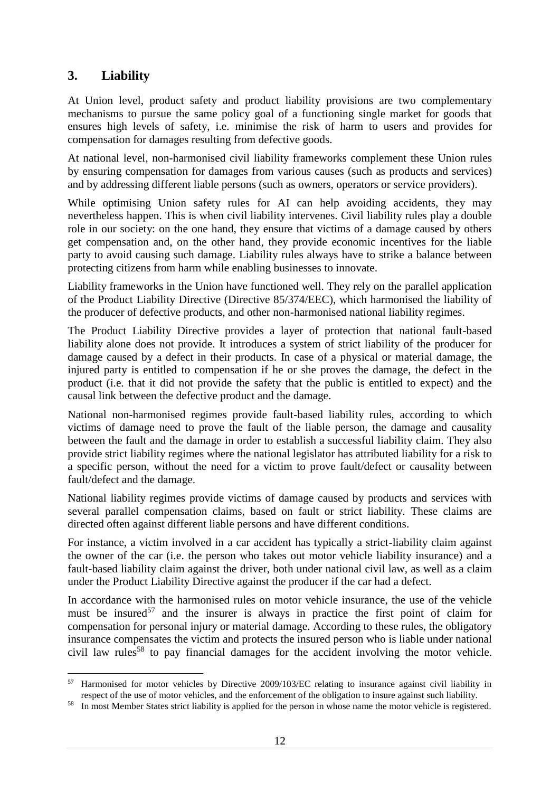# **3. Liability**

1

At Union level, product safety and product liability provisions are two complementary mechanisms to pursue the same policy goal of a functioning single market for goods that ensures high levels of safety, i.e. minimise the risk of harm to users and provides for compensation for damages resulting from defective goods.

At national level, non-harmonised civil liability frameworks complement these Union rules by ensuring compensation for damages from various causes (such as products and services) and by addressing different liable persons (such as owners, operators or service providers).

While optimising Union safety rules for AI can help avoiding accidents, they may nevertheless happen. This is when civil liability intervenes. Civil liability rules play a double role in our society: on the one hand, they ensure that victims of a damage caused by others get compensation and, on the other hand, they provide economic incentives for the liable party to avoid causing such damage. Liability rules always have to strike a balance between protecting citizens from harm while enabling businesses to innovate.

Liability frameworks in the Union have functioned well. They rely on the parallel application of the Product Liability Directive (Directive 85/374/EEC), which harmonised the liability of the producer of defective products, and other non-harmonised national liability regimes.

The Product Liability Directive provides a layer of protection that national fault-based liability alone does not provide. It introduces a system of strict liability of the producer for damage caused by a defect in their products. In case of a physical or material damage, the injured party is entitled to compensation if he or she proves the damage, the defect in the product (i.e. that it did not provide the safety that the public is entitled to expect) and the causal link between the defective product and the damage.

National non-harmonised regimes provide fault-based liability rules, according to which victims of damage need to prove the fault of the liable person, the damage and causality between the fault and the damage in order to establish a successful liability claim. They also provide strict liability regimes where the national legislator has attributed liability for a risk to a specific person, without the need for a victim to prove fault/defect or causality between fault/defect and the damage.

National liability regimes provide victims of damage caused by products and services with several parallel compensation claims, based on fault or strict liability. These claims are directed often against different liable persons and have different conditions.

For instance, a victim involved in a car accident has typically a strict-liability claim against the owner of the car (i.e. the person who takes out motor vehicle liability insurance) and a fault-based liability claim against the driver, both under national civil law, as well as a claim under the Product Liability Directive against the producer if the car had a defect.

In accordance with the harmonised rules on motor vehicle insurance, the use of the vehicle must be insured $57$  and the insurer is always in practice the first point of claim for compensation for personal injury or material damage. According to these rules, the obligatory insurance compensates the victim and protects the insured person who is liable under national civil law rules<sup>58</sup> to pay financial damages for the accident involving the motor vehicle.

<sup>&</sup>lt;sup>57</sup> Harmonised for motor vehicles by Directive 2009/103/EC relating to insurance against civil liability in respect of the use of motor vehicles, and the enforcement of the obligation to insure against such liability.

<sup>&</sup>lt;sup>58</sup> In most Member States strict liability is applied for the person in whose name the motor vehicle is registered.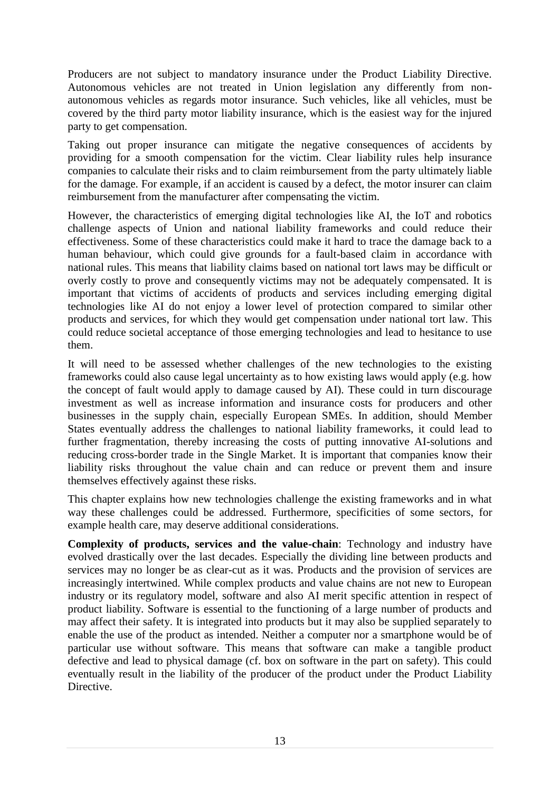Producers are not subject to mandatory insurance under the Product Liability Directive. Autonomous vehicles are not treated in Union legislation any differently from nonautonomous vehicles as regards motor insurance. Such vehicles, like all vehicles, must be covered by the third party motor liability insurance, which is the easiest way for the injured party to get compensation.

Taking out proper insurance can mitigate the negative consequences of accidents by providing for a smooth compensation for the victim. Clear liability rules help insurance companies to calculate their risks and to claim reimbursement from the party ultimately liable for the damage. For example, if an accident is caused by a defect, the motor insurer can claim reimbursement from the manufacturer after compensating the victim.

However, the characteristics of emerging digital technologies like AI, the IoT and robotics challenge aspects of Union and national liability frameworks and could reduce their effectiveness. Some of these characteristics could make it hard to trace the damage back to a human behaviour, which could give grounds for a fault-based claim in accordance with national rules. This means that liability claims based on national tort laws may be difficult or overly costly to prove and consequently victims may not be adequately compensated. It is important that victims of accidents of products and services including emerging digital technologies like AI do not enjoy a lower level of protection compared to similar other products and services, for which they would get compensation under national tort law. This could reduce societal acceptance of those emerging technologies and lead to hesitance to use them.

It will need to be assessed whether challenges of the new technologies to the existing frameworks could also cause legal uncertainty as to how existing laws would apply (e.g. how the concept of fault would apply to damage caused by AI). These could in turn discourage investment as well as increase information and insurance costs for producers and other businesses in the supply chain, especially European SMEs. In addition, should Member States eventually address the challenges to national liability frameworks, it could lead to further fragmentation, thereby increasing the costs of putting innovative AI-solutions and reducing cross-border trade in the Single Market. It is important that companies know their liability risks throughout the value chain and can reduce or prevent them and insure themselves effectively against these risks.

This chapter explains how new technologies challenge the existing frameworks and in what way these challenges could be addressed. Furthermore, specificities of some sectors, for example health care, may deserve additional considerations.

**Complexity of products, services and the value-chain**: Technology and industry have evolved drastically over the last decades. Especially the dividing line between products and services may no longer be as clear-cut as it was. Products and the provision of services are increasingly intertwined. While complex products and value chains are not new to European industry or its regulatory model, software and also AI merit specific attention in respect of product liability. Software is essential to the functioning of a large number of products and may affect their safety. It is integrated into products but it may also be supplied separately to enable the use of the product as intended. Neither a computer nor a smartphone would be of particular use without software. This means that software can make a tangible product defective and lead to physical damage (cf. box on software in the part on safety). This could eventually result in the liability of the producer of the product under the Product Liability Directive.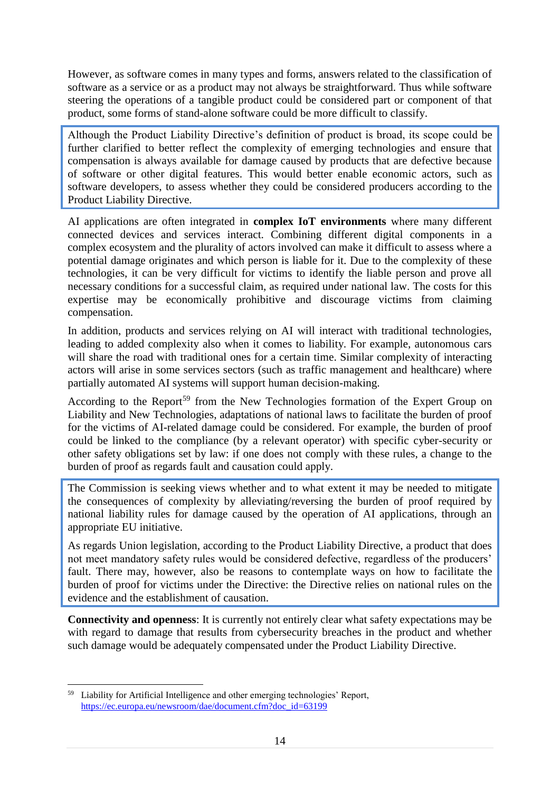However, as software comes in many types and forms, answers related to the classification of software as a service or as a product may not always be straightforward. Thus while software steering the operations of a tangible product could be considered part or component of that product, some forms of stand-alone software could be more difficult to classify.

Although the Product Liability Directive's definition of product is broad, its scope could be further clarified to better reflect the complexity of emerging technologies and ensure that compensation is always available for damage caused by products that are defective because of software or other digital features. This would better enable economic actors, such as software developers, to assess whether they could be considered producers according to the Product Liability Directive.

AI applications are often integrated in **complex IoT environments** where many different connected devices and services interact. Combining different digital components in a complex ecosystem and the plurality of actors involved can make it difficult to assess where a potential damage originates and which person is liable for it. Due to the complexity of these technologies, it can be very difficult for victims to identify the liable person and prove all necessary conditions for a successful claim, as required under national law. The costs for this expertise may be economically prohibitive and discourage victims from claiming compensation.

In addition, products and services relying on AI will interact with traditional technologies, leading to added complexity also when it comes to liability. For example, autonomous cars will share the road with traditional ones for a certain time. Similar complexity of interacting actors will arise in some services sectors (such as traffic management and healthcare) where partially automated AI systems will support human decision-making.

According to the Report<sup>59</sup> from the New Technologies formation of the Expert Group on Liability and New Technologies, adaptations of national laws to facilitate the burden of proof for the victims of AI-related damage could be considered. For example, the burden of proof could be linked to the compliance (by a relevant operator) with specific cyber-security or other safety obligations set by law: if one does not comply with these rules, a change to the burden of proof as regards fault and causation could apply.

The Commission is seeking views whether and to what extent it may be needed to mitigate the consequences of complexity by alleviating/reversing the burden of proof required by national liability rules for damage caused by the operation of AI applications, through an appropriate EU initiative.

As regards Union legislation, according to the Product Liability Directive, a product that does not meet mandatory safety rules would be considered defective, regardless of the producers' fault. There may, however, also be reasons to contemplate ways on how to facilitate the burden of proof for victims under the Directive: the Directive relies on national rules on the evidence and the establishment of causation.

**Connectivity and openness**: It is currently not entirely clear what safety expectations may be with regard to damage that results from cybersecurity breaches in the product and whether such damage would be adequately compensated under the Product Liability Directive.

<sup>1</sup> <sup>59</sup> Liability for Artificial Intelligence and other emerging technologies' Report, [https://ec.europa.eu/newsroom/dae/document.cfm?doc\\_id=63199](https://ec.europa.eu/newsroom/dae/document.cfm?doc_id=63199)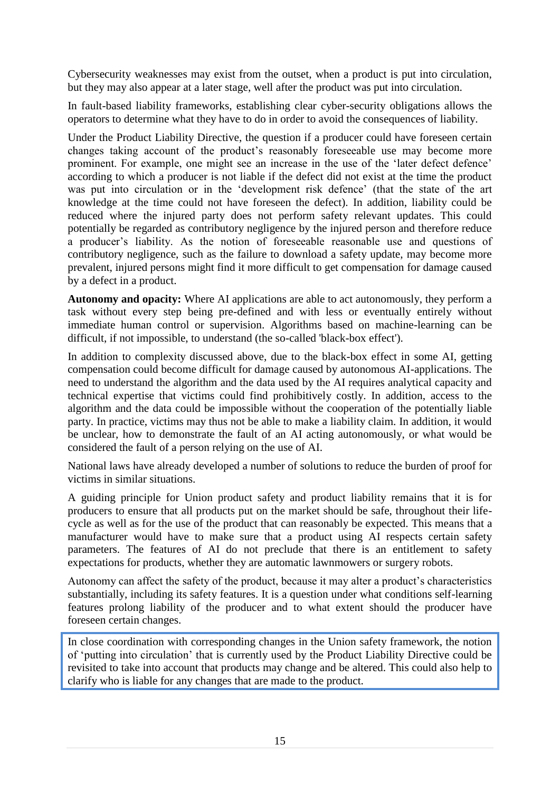Cybersecurity weaknesses may exist from the outset, when a product is put into circulation, but they may also appear at a later stage, well after the product was put into circulation.

In fault-based liability frameworks, establishing clear cyber-security obligations allows the operators to determine what they have to do in order to avoid the consequences of liability.

Under the Product Liability Directive, the question if a producer could have foreseen certain changes taking account of the product's reasonably foreseeable use may become more prominent. For example, one might see an increase in the use of the 'later defect defence' according to which a producer is not liable if the defect did not exist at the time the product was put into circulation or in the 'development risk defence' (that the state of the art knowledge at the time could not have foreseen the defect). In addition, liability could be reduced where the injured party does not perform safety relevant updates. This could potentially be regarded as contributory negligence by the injured person and therefore reduce a producer's liability. As the notion of foreseeable reasonable use and questions of contributory negligence, such as the failure to download a safety update, may become more prevalent, injured persons might find it more difficult to get compensation for damage caused by a defect in a product.

**Autonomy and opacity:** Where AI applications are able to act autonomously, they perform a task without every step being pre-defined and with less or eventually entirely without immediate human control or supervision. Algorithms based on machine-learning can be difficult, if not impossible, to understand (the so-called 'black-box effect').

In addition to complexity discussed above, due to the black-box effect in some AI, getting compensation could become difficult for damage caused by autonomous AI-applications. The need to understand the algorithm and the data used by the AI requires analytical capacity and technical expertise that victims could find prohibitively costly. In addition, access to the algorithm and the data could be impossible without the cooperation of the potentially liable party. In practice, victims may thus not be able to make a liability claim. In addition, it would be unclear, how to demonstrate the fault of an AI acting autonomously, or what would be considered the fault of a person relying on the use of AI.

National laws have already developed a number of solutions to reduce the burden of proof for victims in similar situations.

A guiding principle for Union product safety and product liability remains that it is for producers to ensure that all products put on the market should be safe, throughout their lifecycle as well as for the use of the product that can reasonably be expected. This means that a manufacturer would have to make sure that a product using AI respects certain safety parameters. The features of AI do not preclude that there is an entitlement to safety expectations for products, whether they are automatic lawnmowers or surgery robots.

Autonomy can affect the safety of the product, because it may alter a product's characteristics substantially, including its safety features. It is a question under what conditions self-learning features prolong liability of the producer and to what extent should the producer have foreseen certain changes.

In close coordination with corresponding changes in the Union safety framework, the notion of 'putting into circulation' that is currently used by the Product Liability Directive could be revisited to take into account that products may change and be altered. This could also help to clarify who is liable for any changes that are made to the product.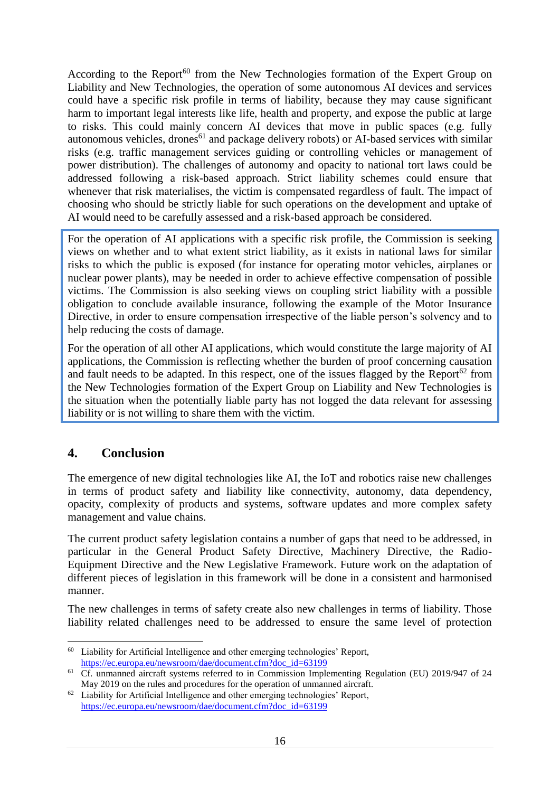According to the Report<sup>60</sup> from the New Technologies formation of the Expert Group on Liability and New Technologies, the operation of some autonomous AI devices and services could have a specific risk profile in terms of liability, because they may cause significant harm to important legal interests like life, health and property, and expose the public at large to risks. This could mainly concern AI devices that move in public spaces (e.g. fully autonomous vehicles, drones<sup>61</sup> and package delivery robots) or AI-based services with similar risks (e.g. traffic management services guiding or controlling vehicles or management of power distribution). The challenges of autonomy and opacity to national tort laws could be addressed following a risk-based approach. Strict liability schemes could ensure that whenever that risk materialises, the victim is compensated regardless of fault. The impact of choosing who should be strictly liable for such operations on the development and uptake of AI would need to be carefully assessed and a risk-based approach be considered.

For the operation of AI applications with a specific risk profile, the Commission is seeking views on whether and to what extent strict liability, as it exists in national laws for similar risks to which the public is exposed (for instance for operating motor vehicles, airplanes or nuclear power plants), may be needed in order to achieve effective compensation of possible victims. The Commission is also seeking views on coupling strict liability with a possible obligation to conclude available insurance, following the example of the Motor Insurance Directive, in order to ensure compensation irrespective of the liable person's solvency and to help reducing the costs of damage.

For the operation of all other AI applications, which would constitute the large majority of AI applications, the Commission is reflecting whether the burden of proof concerning causation and fault needs to be adapted. In this respect, one of the issues flagged by the Report<sup>62</sup> from the New Technologies formation of the Expert Group on Liability and New Technologies is the situation when the potentially liable party has not logged the data relevant for assessing liability or is not willing to share them with the victim.

# **4. Conclusion**

The emergence of new digital technologies like AI, the IoT and robotics raise new challenges in terms of product safety and liability like connectivity, autonomy, data dependency, opacity, complexity of products and systems, software updates and more complex safety management and value chains.

The current product safety legislation contains a number of gaps that need to be addressed, in particular in the General Product Safety Directive, Machinery Directive, the Radio-Equipment Directive and the New Legislative Framework. Future work on the adaptation of different pieces of legislation in this framework will be done in a consistent and harmonised manner.

The new challenges in terms of safety create also new challenges in terms of liability. Those liability related challenges need to be addressed to ensure the same level of protection

<sup>1</sup> <sup>60</sup> Liability for Artificial Intelligence and other emerging technologies' Report, [https://ec.europa.eu/newsroom/dae/document.cfm?doc\\_id=63199](https://ec.europa.eu/newsroom/dae/document.cfm?doc_id=63199)

<sup>&</sup>lt;sup>61</sup> Cf. unmanned aircraft systems referred to in Commission Implementing Regulation (EU) 2019/947 of 24 May 2019 on the rules and procedures for the operation of unmanned aircraft.

<sup>&</sup>lt;sup>62</sup> Liability for Artificial Intelligence and other emerging technologies' Report, [https://ec.europa.eu/newsroom/dae/document.cfm?doc\\_id=63199](https://ec.europa.eu/newsroom/dae/document.cfm?doc_id=63199)